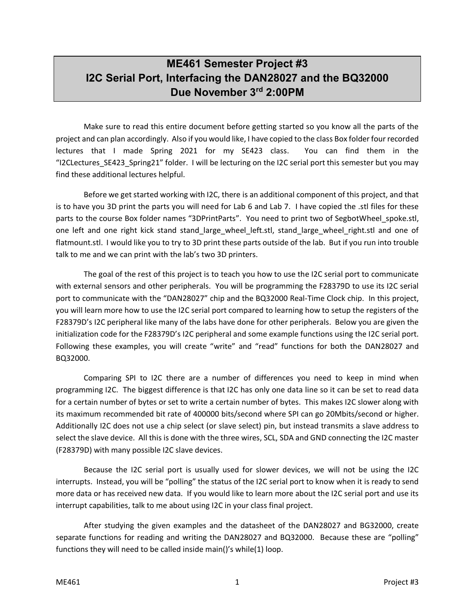## **ME461 Semester Project #3 I2C Serial Port, Interfacing the DAN28027 and the BQ32000 Due November 3rd 2:00PM**

Make sure to read this entire document before getting started so you know all the parts of the project and can plan accordingly. Also if you would like, I have copied to the class Box folder four recorded lectures that I made Spring 2021 for my SE423 class. You can find them in the "I2CLectures SE423 Spring21" folder. I will be lecturing on the I2C serial port this semester but you may find these additional lectures helpful.

Before we get started working with I2C, there is an additional component of this project, and that is to have you 3D print the parts you will need for Lab 6 and Lab 7. I have copied the .stl files for these parts to the course Box folder names "3DPrintParts". You need to print two of SegbotWheel spoke.stl, one left and one right kick stand stand\_large\_wheel\_left.stl, stand\_large\_wheel\_right.stl and one of flatmount.stl. I would like you to try to 3D print these parts outside of the lab. But if you run into trouble talk to me and we can print with the lab's two 3D printers.

The goal of the rest of this project is to teach you how to use the I2C serial port to communicate with external sensors and other peripherals. You will be programming the F28379D to use its I2C serial port to communicate with the "DAN28027" chip and the BQ32000 Real-Time Clock chip. In this project, you will learn more how to use the I2C serial port compared to learning how to setup the registers of the F28379D's I2C peripheral like many of the labs have done for other peripherals. Below you are given the initialization code for the F28379D's I2C peripheral and some example functions using the I2C serial port. Following these examples, you will create "write" and "read" functions for both the DAN28027 and BQ32000.

Comparing SPI to I2C there are a number of differences you need to keep in mind when programming I2C. The biggest difference is that I2C has only one data line so it can be set to read data for a certain number of bytes or set to write a certain number of bytes. This makes I2C slower along with its maximum recommended bit rate of 400000 bits/second where SPI can go 20Mbits/second or higher. Additionally I2C does not use a chip select (or slave select) pin, but instead transmits a slave address to select the slave device. All this is done with the three wires, SCL, SDA and GND connecting the I2C master (F28379D) with many possible I2C slave devices.

Because the I2C serial port is usually used for slower devices, we will not be using the I2C interrupts. Instead, you will be "polling" the status of the I2C serial port to know when it is ready to send more data or has received new data. If you would like to learn more about the I2C serial port and use its interrupt capabilities, talk to me about using I2C in your class final project.

After studying the given examples and the datasheet of the DAN28027 and BG32000, create separate functions for reading and writing the DAN28027 and BQ32000. Because these are "polling" functions they will need to be called inside main()'s while(1) loop.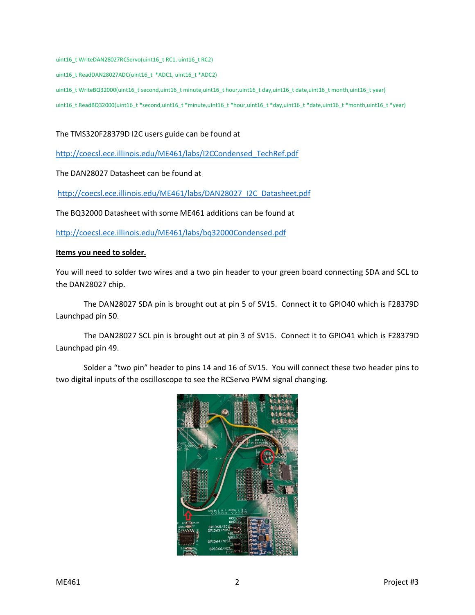uint16\_t WriteDAN28027RCServo(uint16\_t RC1, uint16\_t RC2)

uint16\_t ReadDAN28027ADC(uint16\_t \*ADC1, uint16\_t \*ADC2)

uint16\_t WriteBQ32000(uint16\_t second,uint16\_t minute,uint16\_t hour,uint16\_t day,uint16\_t date,uint16\_t month,uint16\_t year)

uint16\_t ReadBQ32000(uint16\_t \*second,uint16\_t \*minute,uint16\_t \*hour,uint16\_t \*day,uint16\_t \*date,uint16\_t \*month,uint16\_t \*year)

## The TMS320F28379D I2C users guide can be found at

[http://coecsl.ece.illinois.edu/ME461/labs/I2CCondensed\\_TechRef.pdf](http://coecsl.ece.illinois.edu/me461/labs/I2CCondensed_TechRef.pdf)

The DAN28027 Datasheet can be found at

[http://coecsl.ece.illinois.edu/ME461/labs/DAN28027\\_I2C\\_Datasheet.pdf](http://coecsl.ece.illinois.edu/me461/labs/DAN28027_I2C_Datasheet.pdf)

The BQ32000 Datasheet with some ME461 additions can be found at

[http://coecsl.ece.illinois.edu/ME461/labs/bq32000Condensed.pdf](http://coecsl.ece.illinois.edu/me461/labs/bq32000Condensed.pdf)

## **Items you need to solder.**

You will need to solder two wires and a two pin header to your green board connecting SDA and SCL to the DAN28027 chip.

The DAN28027 SDA pin is brought out at pin 5 of SV15. Connect it to GPIO40 which is F28379D Launchpad pin 50.

The DAN28027 SCL pin is brought out at pin 3 of SV15. Connect it to GPIO41 which is F28379D Launchpad pin 49.

Solder a "two pin" header to pins 14 and 16 of SV15. You will connect these two header pins to two digital inputs of the oscilloscope to see the RCServo PWM signal changing.

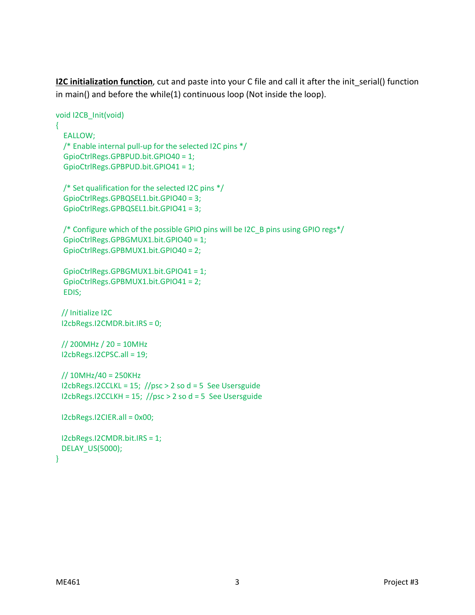**I2C initialization function**, cut and paste into your C file and call it after the init serial() function in main() and before the while(1) continuous loop (Not inside the loop).

```
void I2CB_Init(void)
{
   EALLOW;
  /* Enable internal pull-up for the selected I2C pins */
   GpioCtrlRegs.GPBPUD.bit.GPIO40 = 1;
   GpioCtrlRegs.GPBPUD.bit.GPIO41 = 1;
   /* Set qualification for the selected I2C pins */
   GpioCtrlRegs.GPBQSEL1.bit.GPIO40 = 3;
   GpioCtrlRegs.GPBQSEL1.bit.GPIO41 = 3;
   /* Configure which of the possible GPIO pins will be I2C_B pins using GPIO regs*/
   GpioCtrlRegs.GPBGMUX1.bit.GPIO40 = 1;
   GpioCtrlRegs.GPBMUX1.bit.GPIO40 = 2;
   GpioCtrlRegs.GPBGMUX1.bit.GPIO41 = 1;
   GpioCtrlRegs.GPBMUX1.bit.GPIO41 = 2;
   EDIS;
  // Initialize I2C
  I2cbRegs.I2CMDR.bit.IRS = 0;
  // 200MHz / 20 = 10MHz
  I2cbRegs.I2CPSC.all = 19;
  // 10MHz/40 = 250KHz
 I2cbRegs.I2CCLKL = 15; //psc > 2 so d = 5 See Usersguide
  I2cbRegs.I2CCLKH = 15; //psc > 2 so d = 5 See Usersguide
  I2cbRegs.I2CIER.all = 0x00;
  I2cbRegs.I2CMDR.bit.IRS = 1;
  DELAY_US(5000);
}
```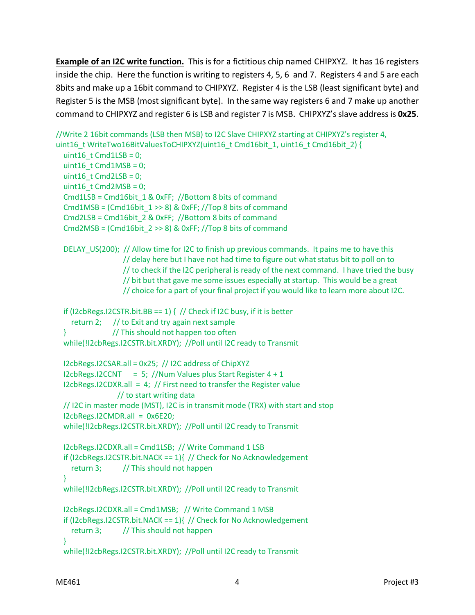**Example of an I2C write function.** This is for a fictitious chip named CHIPXYZ. It has 16 registers inside the chip. Here the function is writing to registers 4, 5, 6 and 7. Registers 4 and 5 are each 8bits and make up a 16bit command to CHIPXYZ. Register 4 is the LSB (least significant byte) and Register 5 is the MSB (most significant byte). In the same way registers 6 and 7 make up another command to CHIPXYZ and register 6 is LSB and register 7 is MSB. CHIPXYZ's slave address is **0x25**.

```
//Write 2 16bit commands (LSB then MSB) to I2C Slave CHIPXYZ starting at CHIPXYZ's register 4,
uint16_t WriteTwo16BitValuesToCHIPXYZ(uint16_t Cmd16bit_1, uint16_t Cmd16bit_2) {
  uint16 t Cmd1LSB = 0;
  uint16 t Cmd1MSB = 0;
  uint16 t Cmd2LSB = 0;
  uint16_t Cmd2MSB = 0;
   Cmd1LSB = Cmd16bit_1 & 0xFF; //Bottom 8 bits of command
  Cmd1MSB = (Cmd16bit_1 >> 8) & 0xFF; / Top 8 bits of command
   Cmd2LSB = Cmd16bit_2 & 0xFF; //Bottom 8 bits of command
   Cmd2MSB = (Cmd16bit_2 >> 8) & 0xFF; //Top 8 bits of command
  DELAY US(200); // Allow time for I2C to finish up previous commands. It pains me to have this
                   // delay here but I have not had time to figure out what status bit to poll on to
                   // to check if the I2C peripheral is ready of the next command. I have tried the busy
                   // bit but that gave me some issues especially at startup. This would be a great
                   // choice for a part of your final project if you would like to learn more about I2C. 
  if (I2cbRegs.I2CSTR.bit.BB == 1) { // Check if I2C busy, if it is better
    return 2; \frac{1}{10} to Exit and try again next sample
   } // This should not happen too often
   while(!I2cbRegs.I2CSTR.bit.XRDY); //Poll until I2C ready to Transmit
   I2cbRegs.I2CSAR.all = 0x25; // I2C address of ChipXYZ
  I2cbRegs.I2CCNT = 5; //Num Values plus Start Register 4 + 1I2cbRegs.I2CDXR.all = 4; // First need to transfer the Register value
                  // to start writing data
   // I2C in master mode (MST), I2C is in transmit mode (TRX) with start and stop
   I2cbRegs.I2CMDR.all = 0x6E20;
   while(!I2cbRegs.I2CSTR.bit.XRDY); //Poll until I2C ready to Transmit
   I2cbRegs.I2CDXR.all = Cmd1LSB; // Write Command 1 LSB
  if (I2cbRegs.I2CSTR.bit.NACK == 1){ // Check for No Acknowledgement
    return 3; // This should not happen
   }
   while(!I2cbRegs.I2CSTR.bit.XRDY); //Poll until I2C ready to Transmit
   I2cbRegs.I2CDXR.all = Cmd1MSB; // Write Command 1 MSB
  if (I2cbRegs.I2CSTR.bit.NACK == 1){ // Check for No Acknowledgement
    return 3; // This should not happen
   }
```

```
 while(!I2cbRegs.I2CSTR.bit.XRDY); //Poll until I2C ready to Transmit
```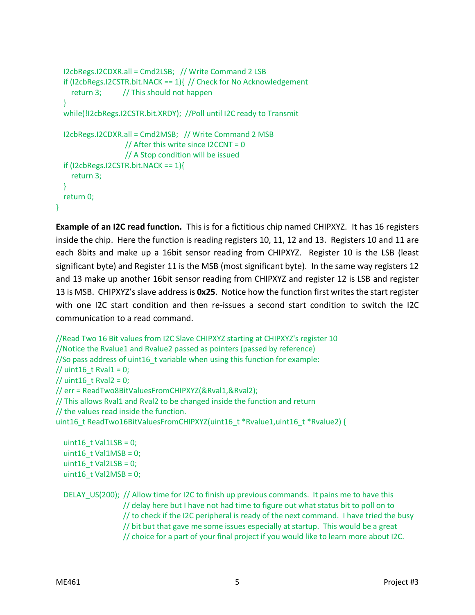```
 I2cbRegs.I2CDXR.all = Cmd2LSB; // Write Command 2 LSB
  if (I2cbRegs.I2CSTR.bit.NACK == 1){ // Check for No Acknowledgement
    return 3; // This should not happen
   }
   while(!I2cbRegs.I2CSTR.bit.XRDY); //Poll until I2C ready to Transmit
   I2cbRegs.I2CDXR.all = Cmd2MSB; // Write Command 2 MSB
                   // After this write since I2CCNT = 0 // A Stop condition will be issued
   if (I2cbRegs.I2CSTR.bit.NACK == 1){
     return 3;
   }
   return 0;
}
```
**Example of an I2C read function.** This is for a fictitious chip named CHIPXYZ. It has 16 registers inside the chip. Here the function is reading registers 10, 11, 12 and 13. Registers 10 and 11 are each 8bits and make up a 16bit sensor reading from CHIPXYZ. Register 10 is the LSB (least significant byte) and Register 11 is the MSB (most significant byte). In the same way registers 12 and 13 make up another 16bit sensor reading from CHIPXYZ and register 12 is LSB and register 13 is MSB. CHIPXYZ's slave address is **0x25**. Notice how the function first writes the start register with one I2C start condition and then re-issues a second start condition to switch the I2C communication to a read command.

```
//Read Two 16 Bit values from I2C Slave CHIPXYZ starting at CHIPXYZ's register 10
//Notice the Rvalue1 and Rvalue2 passed as pointers (passed by reference)
//So pass address of uint16_t variable when using this function for example:
// uint16 t Rval1 = 0;
\frac{1}{10} uint16_t Rval2 = 0;
// err = ReadTwo8BitValuesFromCHIPXYZ(&Rval1,&Rval2);
// This allows Rval1 and Rval2 to be changed inside the function and return
// the values read inside the function. 
uint16_t ReadTwo16BitValuesFromCHIPXYZ(uint16_t *Rvalue1,uint16_t *Rvalue2) {
  uint16_t Val1LSB = 0;
```

```
uint16 t Val1MSB = 0;
uint16 t Val2LSB = 0;
uint16_t Val2MSB = 0;
```
 DELAY\_US(200); // Allow time for I2C to finish up previous commands. It pains me to have this // delay here but I have not had time to figure out what status bit to poll on to // to check if the I2C peripheral is ready of the next command. I have tried the busy // bit but that gave me some issues especially at startup. This would be a great // choice for a part of your final project if you would like to learn more about I2C.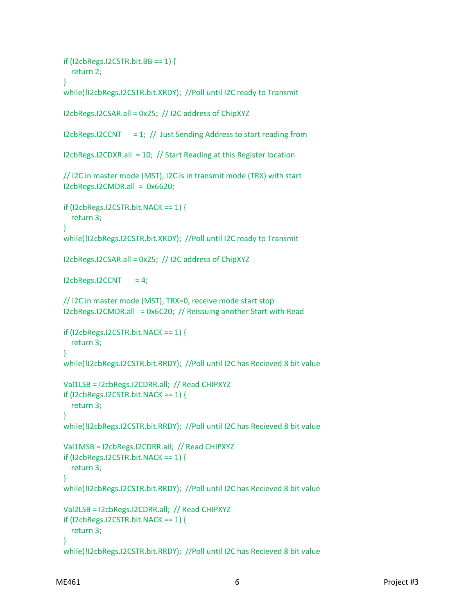```
if (I2cbRegs.I2CSTR.bit.BB == 1) {
   return 2;
 }
 while(!I2cbRegs.I2CSTR.bit.XRDY); //Poll until I2C ready to Transmit
 I2cbRegs.I2CSAR.all = 0x25; // I2C address of ChipXYZ
I2cbRegs.I2CCNT = 1; \frac{1}{1} Just Sending Address to start reading from
 I2cbRegs.I2CDXR.all = 10; // Start Reading at this Register location
 // I2C in master mode (MST), I2C is in transmit mode (TRX) with start
I2cbRegs.I2CMDR.alI = 0x6620; if (I2cbRegs.I2CSTR.bit.NACK == 1) {
   return 3;
 }
 while(!I2cbRegs.I2CSTR.bit.XRDY); //Poll until I2C ready to Transmit
 I2cbRegs.I2CSAR.all = 0x25; // I2C address of ChipXYZ 
I2cbRegs.I2CCNT = 4; // I2C in master mode (MST), TRX=0, receive mode start stop
 I2cbRegs.I2CMDR.all = 0x6C20; // Reissuing another Start with Read
 if (I2cbRegs.I2CSTR.bit.NACK == 1) {
   return 3;
 }
 while(!I2cbRegs.I2CSTR.bit.RRDY); //Poll until I2C has Recieved 8 bit value
 Val1LSB = I2cbRegs.I2CDRR.all; // Read CHIPXYZ
 if (I2cbRegs.I2CSTR.bit.NACK == 1) {
   return 3;
 }
 while(!I2cbRegs.I2CSTR.bit.RRDY); //Poll until I2C has Recieved 8 bit value
 Val1MSB = I2cbRegs.I2CDRR.all; // Read CHIPXYZ
 if (I2cbRegs.I2CSTR.bit.NACK == 1) {
   return 3;
 }
 while(!I2cbRegs.I2CSTR.bit.RRDY); //Poll until I2C has Recieved 8 bit value
 Val2LSB = I2cbRegs.I2CDRR.all; // Read CHIPXYZ
 if (I2cbRegs.I2CSTR.bit.NACK == 1) {
   return 3;
 }
 while(!I2cbRegs.I2CSTR.bit.RRDY); //Poll until I2C has Recieved 8 bit value
```